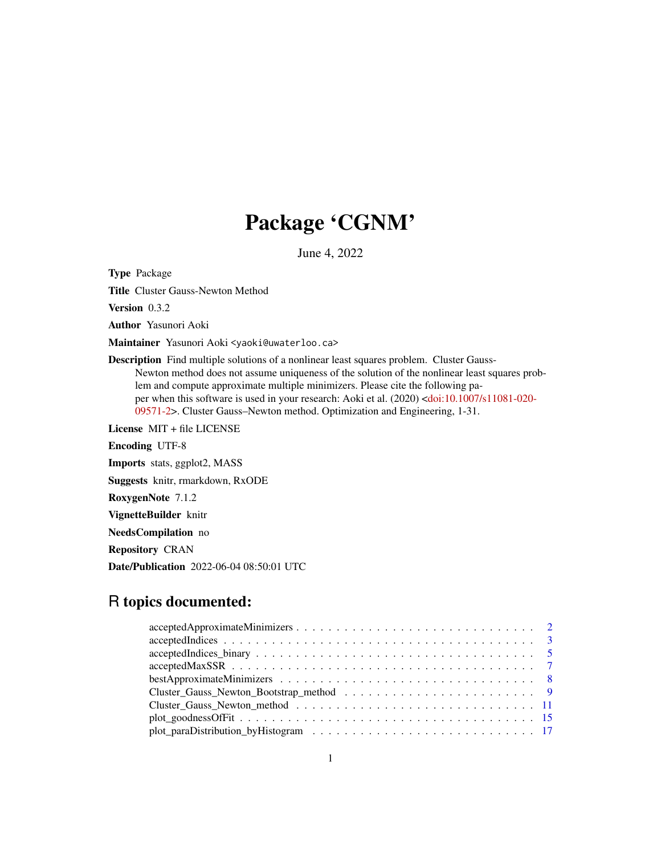## Package 'CGNM'

June 4, 2022

Type Package

Title Cluster Gauss-Newton Method

Version 0.3.2

Author Yasunori Aoki

Maintainer Yasunori Aoki <yaoki@uwaterloo.ca>

Description Find multiple solutions of a nonlinear least squares problem. Cluster Gauss-Newton method does not assume uniqueness of the solution of the nonlinear least squares problem and compute approximate multiple minimizers. Please cite the following paper when this software is used in your research: Aoki et al. (2020) [<doi:10.1007/s11081-020-](https://doi.org/10.1007/s11081-020-09571-2) [09571-2>](https://doi.org/10.1007/s11081-020-09571-2). Cluster Gauss–Newton method. Optimization and Engineering, 1-31.

License MIT + file LICENSE

Encoding UTF-8

Imports stats, ggplot2, MASS

Suggests knitr, rmarkdown, RxODE

RoxygenNote 7.1.2

VignetteBuilder knitr

NeedsCompilation no

Repository CRAN

Date/Publication 2022-06-04 08:50:01 UTC

## R topics documented:

| $accepted Indices \dots \dots \dots \dots \dots \dots \dots \dots \dots \dots \dots \dots \dots \dots \dots \dots \dots \dots$  |
|---------------------------------------------------------------------------------------------------------------------------------|
| $accepted Indices_binary \dots \dots \dots \dots \dots \dots \dots \dots \dots \dots \dots \dots \dots \dots \dots \dots \dots$ |
|                                                                                                                                 |
|                                                                                                                                 |
|                                                                                                                                 |
|                                                                                                                                 |
|                                                                                                                                 |
|                                                                                                                                 |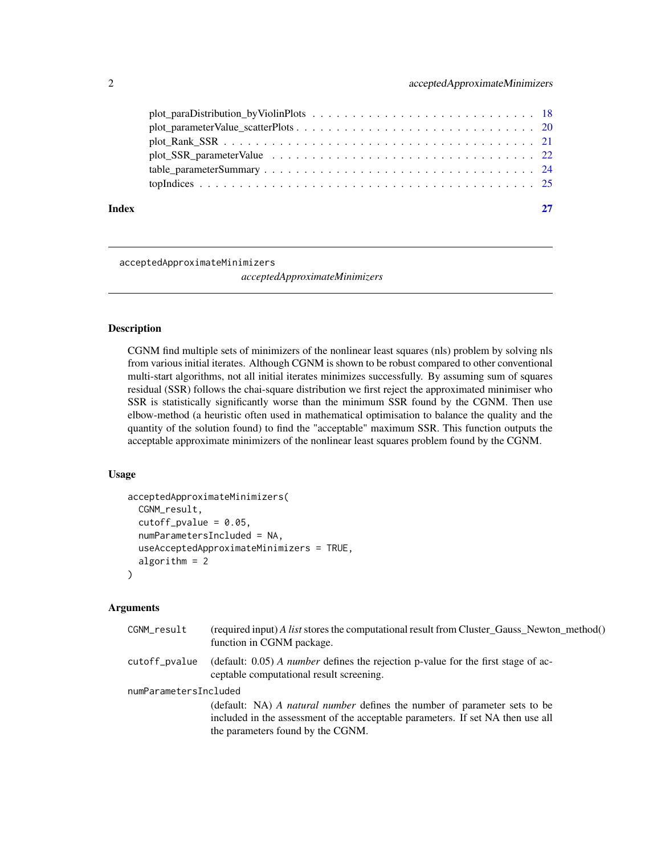## <span id="page-1-0"></span>2 acceptedApproximateMinimizers

acceptedApproximateMinimizers

*acceptedApproximateMinimizers*

## Description

CGNM find multiple sets of minimizers of the nonlinear least squares (nls) problem by solving nls from various initial iterates. Although CGNM is shown to be robust compared to other conventional multi-start algorithms, not all initial iterates minimizes successfully. By assuming sum of squares residual (SSR) follows the chai-square distribution we first reject the approximated minimiser who SSR is statistically significantly worse than the minimum SSR found by the CGNM. Then use elbow-method (a heuristic often used in mathematical optimisation to balance the quality and the quantity of the solution found) to find the "acceptable" maximum SSR. This function outputs the acceptable approximate minimizers of the nonlinear least squares problem found by the CGNM.

#### Usage

```
acceptedApproximateMinimizers(
  CGNM_result,
  cutoff\_pvalue = 0.05,
  numParametersIncluded = NA,
  useAcceptedApproximateMinimizers = TRUE,
  algorithm = 2)
```
### Arguments

| CGNM_result           | (required input) A list stores the computational result from Cluster_Gauss_Newton_method()<br>function in CGNM package.                 |
|-----------------------|-----------------------------------------------------------------------------------------------------------------------------------------|
| cutoff_pvalue         | (default: $0.05$ ) <i>A number</i> defines the rejection p-value for the first stage of ac-<br>ceptable computational result screening. |
| numParametersIncluded |                                                                                                                                         |
|                       | (default: NA) A natural number defines the number of parameter sets to be                                                               |
|                       | included in the assessment of the acceptable parameters. If set NA then use all                                                         |
|                       | the parameters found by the CGNM.                                                                                                       |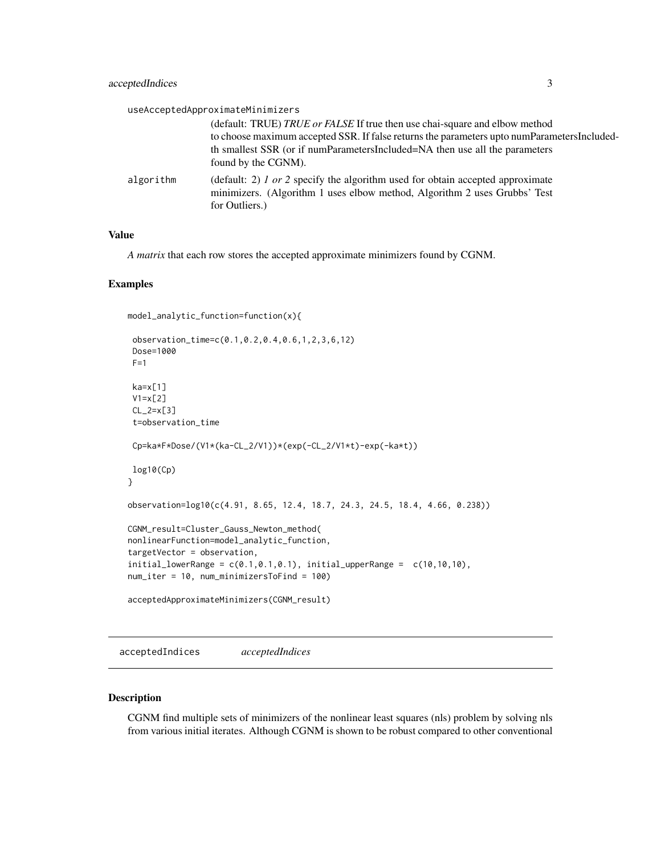<span id="page-2-0"></span>

|           | useAcceptedApproximateMinimizers                                                                                                                                                                                                                                                 |
|-----------|----------------------------------------------------------------------------------------------------------------------------------------------------------------------------------------------------------------------------------------------------------------------------------|
|           | (default: TRUE) TRUE or FALSE If true then use chai-square and elbow method<br>to choose maximum accepted SSR. If false returns the parameters upto numParametersIncluded-<br>th smallest SSR (or if numParametersIncluded=NA then use all the parameters<br>found by the CGNM). |
| algorithm | (default: 2) $1$ or 2 specify the algorithm used for obtain accepted approximate<br>minimizers. (Algorithm 1 uses elbow method, Algorithm 2 uses Grubbs' Test<br>for Outliers.)                                                                                                  |

## Value

*A matrix* that each row stores the accepted approximate minimizers found by CGNM.

## Examples

```
model_analytic_function=function(x){
```

```
observation_time=c(0.1,0.2,0.4,0.6,1,2,3,6,12)
Dose=1000
F=1ka=x[1]
V1=x[2]
CL_2=x[3]
 t=observation_time
Cp=ka*F*Dose/(V1*(ka-CL_2/V1))*(exp(-CL_2/V1*t)-exp(-ka*t))
log10(Cp)
}
observation=log10(c(4.91, 8.65, 12.4, 18.7, 24.3, 24.5, 18.4, 4.66, 0.238))
CGNM_result=Cluster_Gauss_Newton_method(
nonlinearFunction=model_analytic_function,
targetVector = observation,
initial\_lowerRange = c(0.1, 0.1, 0.1), initial\_upperRange = c(10, 10, 10),
num_iter = 10, num_minimizersToFind = 100)
acceptedApproximateMinimizers(CGNM_result)
```
acceptedIndices *acceptedIndices*

#### Description

CGNM find multiple sets of minimizers of the nonlinear least squares (nls) problem by solving nls from various initial iterates. Although CGNM is shown to be robust compared to other conventional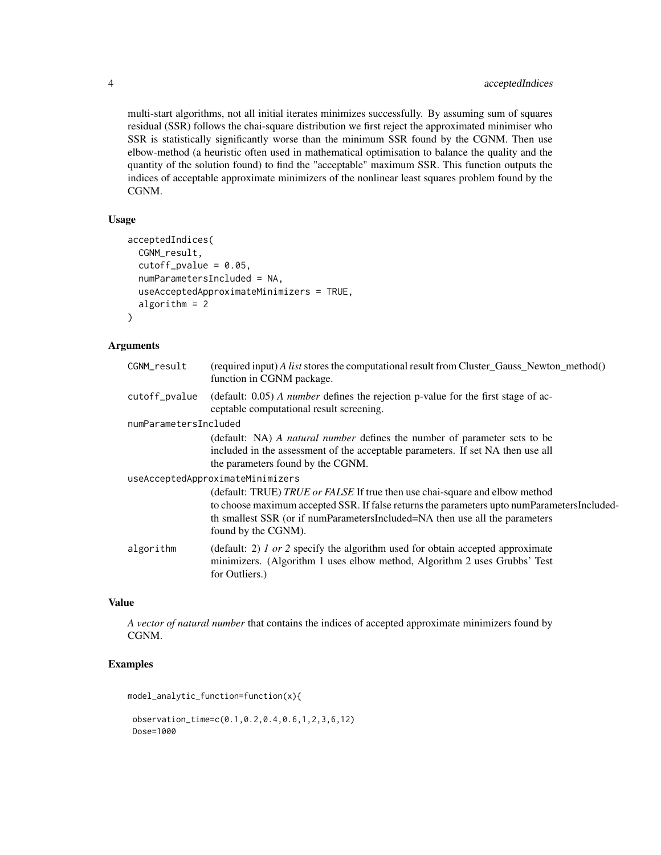multi-start algorithms, not all initial iterates minimizes successfully. By assuming sum of squares residual (SSR) follows the chai-square distribution we first reject the approximated minimiser who SSR is statistically significantly worse than the minimum SSR found by the CGNM. Then use elbow-method (a heuristic often used in mathematical optimisation to balance the quality and the quantity of the solution found) to find the "acceptable" maximum SSR. This function outputs the indices of acceptable approximate minimizers of the nonlinear least squares problem found by the CGNM.

## Usage

```
acceptedIndices(
  CGNM_result,
  cutoff\_pvalue = 0.05,
  numParametersIncluded = NA,
  useAcceptedApproximateMinimizers = TRUE,
  algorithm = 2
)
```
## Arguments

| CGNM_result                      | (required input) A list stores the computational result from Cluster_Gauss_Newton_method()<br>function in CGNM package.                                                                                                                                                          |  |
|----------------------------------|----------------------------------------------------------------------------------------------------------------------------------------------------------------------------------------------------------------------------------------------------------------------------------|--|
| cutoff_pvalue                    | (default: $0.05$ ) <i>A number</i> defines the rejection p-value for the first stage of ac-<br>ceptable computational result screening.                                                                                                                                          |  |
| numParametersIncluded            |                                                                                                                                                                                                                                                                                  |  |
|                                  | (default: NA) A natural number defines the number of parameter sets to be                                                                                                                                                                                                        |  |
|                                  | included in the assessment of the acceptable parameters. If set NA then use all                                                                                                                                                                                                  |  |
|                                  | the parameters found by the CGNM.                                                                                                                                                                                                                                                |  |
| useAcceptedApproximateMinimizers |                                                                                                                                                                                                                                                                                  |  |
|                                  | (default: TRUE) TRUE or FALSE If true then use chai-square and elbow method<br>to choose maximum accepted SSR. If false returns the parameters upto numParametersIncluded-<br>th smallest SSR (or if numParametersIncluded=NA then use all the parameters<br>found by the CGNM). |  |
| algorithm                        | (default: 2) $1$ or 2 specify the algorithm used for obtain accepted approximate<br>minimizers. (Algorithm 1 uses elbow method, Algorithm 2 uses Grubbs' Test<br>for Outliers.)                                                                                                  |  |

## Value

*A vector of natural number* that contains the indices of accepted approximate minimizers found by CGNM.

## Examples

model\_analytic\_function=function(x){

observation\_time=c(0.1,0.2,0.4,0.6,1,2,3,6,12) Dose=1000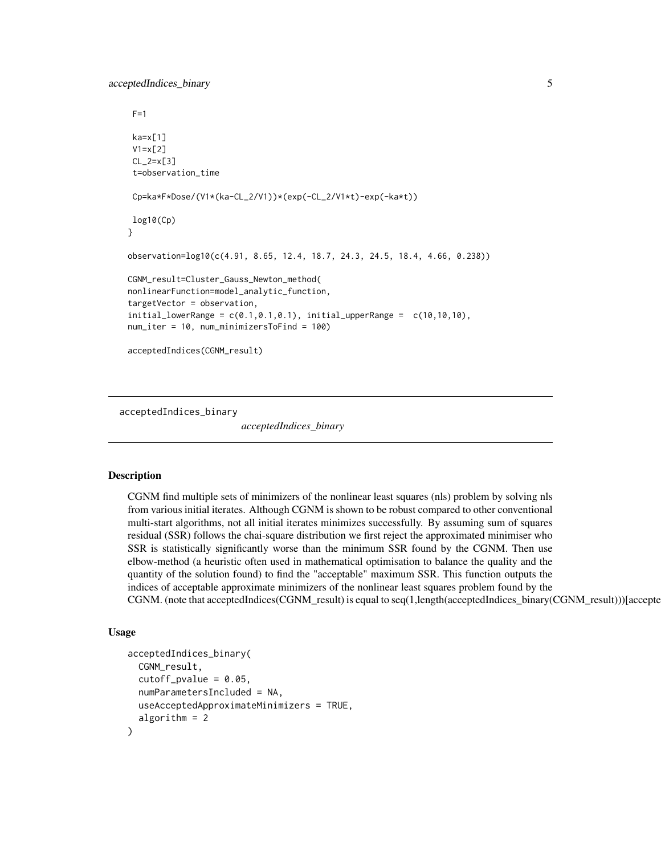<span id="page-4-0"></span>acceptedIndices\_binary 5

```
F=1ka=x[1]
 V1=x[2]
CL_2=x[3]
 t=observation_time
 Cp=ka*F*Dose/(V1*(ka-CL_2/V1))*(exp(-CL_2/V1*t)-exp(-ka*t))
log10(Cp)
}
observation=log10(c(4.91, 8.65, 12.4, 18.7, 24.3, 24.5, 18.4, 4.66, 0.238))
CGNM_result=Cluster_Gauss_Newton_method(
nonlinearFunction=model_analytic_function,
targetVector = observation,
initial_lowerRange = c(0.1, 0.1, 0.1), initial_lupperRange = c(10, 10, 10),
num_iter = 10, num_minimizersToFind = 100)
acceptedIndices(CGNM_result)
```
acceptedIndices\_binary

*acceptedIndices\_binary*

#### Description

CGNM find multiple sets of minimizers of the nonlinear least squares (nls) problem by solving nls from various initial iterates. Although CGNM is shown to be robust compared to other conventional multi-start algorithms, not all initial iterates minimizes successfully. By assuming sum of squares residual (SSR) follows the chai-square distribution we first reject the approximated minimiser who SSR is statistically significantly worse than the minimum SSR found by the CGNM. Then use elbow-method (a heuristic often used in mathematical optimisation to balance the quality and the quantity of the solution found) to find the "acceptable" maximum SSR. This function outputs the indices of acceptable approximate minimizers of the nonlinear least squares problem found by the CGNM. (note that acceptedIndices(CGNM\_result) is equal to seq(1,length(acceptedIndices\_binary(CGNM\_result)))[acceptedIndices\_binary(CGNM\_result)])

#### Usage

```
acceptedIndices_binary(
  CGNM_result,
  cutoff\_pvalue = 0.05,
  numParametersIncluded = NA,
  useAcceptedApproximateMinimizers = TRUE,
  algorithm = 2
)
```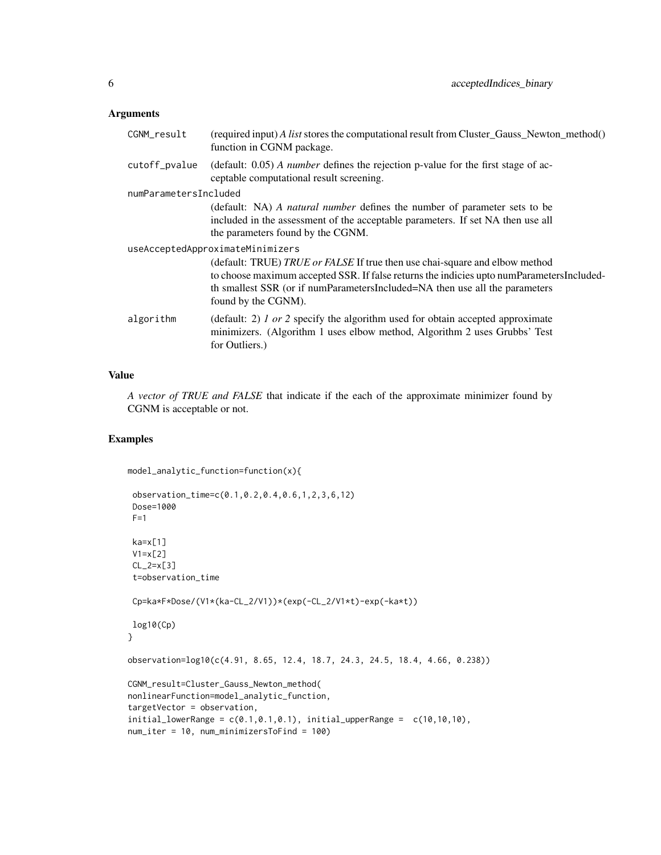## Arguments

| CGNM_result                      | (required input) A list stores the computational result from Cluster_Gauss_Newton_method()<br>function in CGNM package.                                                                                                                                                        |  |
|----------------------------------|--------------------------------------------------------------------------------------------------------------------------------------------------------------------------------------------------------------------------------------------------------------------------------|--|
| cutoff_pvalue                    | (default: $0.05$ ) <i>A number</i> defines the rejection p-value for the first stage of ac-<br>ceptable computational result screening.                                                                                                                                        |  |
| numParametersIncluded            |                                                                                                                                                                                                                                                                                |  |
|                                  | (default: NA) A natural number defines the number of parameter sets to be<br>included in the assessment of the acceptable parameters. If set NA then use all<br>the parameters found by the CGNM.                                                                              |  |
| useAcceptedApproximateMinimizers |                                                                                                                                                                                                                                                                                |  |
|                                  | (default: TRUE) TRUE or FALSE If true then use chai-square and elbow method<br>to choose maximum accepted SSR. If false returns the indicies upto numParametersIncluded-<br>th smallest SSR (or if numParametersIncluded=NA then use all the parameters<br>found by the CGNM). |  |
| algorithm                        | (default: 2) $1$ or 2 specify the algorithm used for obtain accepted approximate<br>minimizers. (Algorithm 1 uses elbow method, Algorithm 2 uses Grubbs' Test<br>for Outliers.)                                                                                                |  |

## Value

*A vector of TRUE and FALSE* that indicate if the each of the approximate minimizer found by CGNM is acceptable or not.

```
model_analytic_function=function(x){
```

```
observation_time=c(0.1,0.2,0.4,0.6,1,2,3,6,12)
 Dose=1000
 F=1ka=x[1]V1=x[2]
 CL_2=x[3]
 t=observation_time
 Cp=ka*F*Dose/(V1*(ka-CL_2/V1))*(exp(-CL_2/V1*t)-exp(-ka*t))
log10(Cp)
}
observation=log10(c(4.91, 8.65, 12.4, 18.7, 24.3, 24.5, 18.4, 4.66, 0.238))
CGNM_result=Cluster_Gauss_Newton_method(
nonlinearFunction=model_analytic_function,
targetVector = observation,
initial\_lowerRange = c(0.1, 0.1, 0.1), initial\_upperRange = c(10, 10, 10),
num_iter = 10, num_minimizersToFind = 100)
```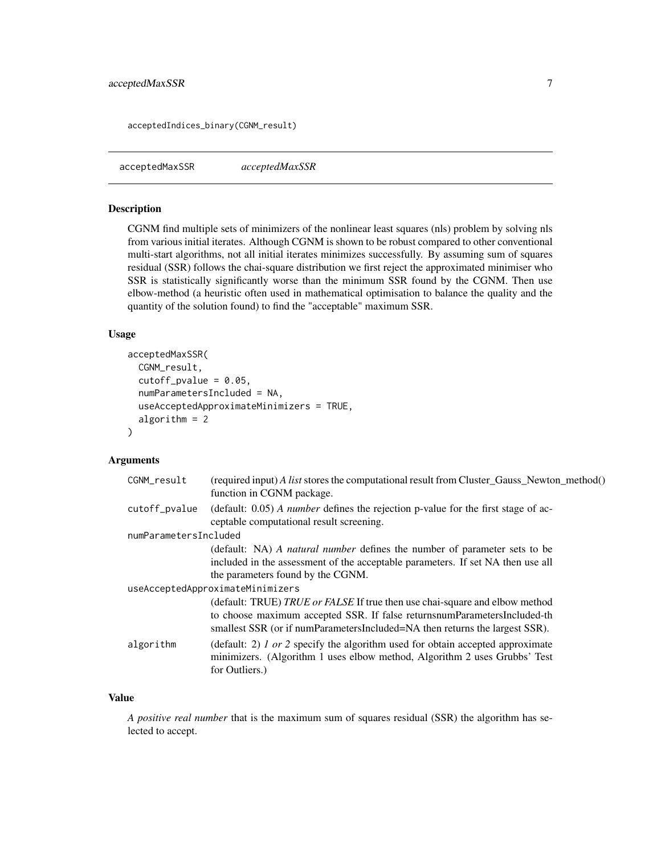<span id="page-6-0"></span>acceptedIndices\_binary(CGNM\_result)

acceptedMaxSSR *acceptedMaxSSR*

## Description

CGNM find multiple sets of minimizers of the nonlinear least squares (nls) problem by solving nls from various initial iterates. Although CGNM is shown to be robust compared to other conventional multi-start algorithms, not all initial iterates minimizes successfully. By assuming sum of squares residual (SSR) follows the chai-square distribution we first reject the approximated minimiser who SSR is statistically significantly worse than the minimum SSR found by the CGNM. Then use elbow-method (a heuristic often used in mathematical optimisation to balance the quality and the quantity of the solution found) to find the "acceptable" maximum SSR.

### Usage

```
acceptedMaxSSR(
  CGNM_result,
  cutoff\_pvalue = 0.05,
  numParametersIncluded = NA,
  useAcceptedApproximateMinimizers = TRUE,
  algorithm = 2
)
```
### **Arguments**

| CGNM_result                      | (required input) A list stores the computational result from Cluster_Gauss_Newton_method()<br>function in CGNM package.                                                                                                                |  |
|----------------------------------|----------------------------------------------------------------------------------------------------------------------------------------------------------------------------------------------------------------------------------------|--|
| cutoff_pvalue                    | (default: $0.05$ ) <i>A number</i> defines the rejection p-value for the first stage of ac-<br>ceptable computational result screening.                                                                                                |  |
| numParametersIncluded            |                                                                                                                                                                                                                                        |  |
|                                  | (default: NA) A natural number defines the number of parameter sets to be<br>included in the assessment of the acceptable parameters. If set NA then use all<br>the parameters found by the CGNM.                                      |  |
| useAcceptedApproximateMinimizers |                                                                                                                                                                                                                                        |  |
|                                  | (default: TRUE) TRUE or FALSE If true then use chai-square and elbow method<br>to choose maximum accepted SSR. If false returnsnumParametersIncluded-th<br>smallest SSR (or if numParametersIncluded=NA then returns the largest SSR). |  |
| algorithm                        | (default: 2) <i>l</i> or 2 specify the algorithm used for obtain accepted approximate<br>minimizers. (Algorithm 1 uses elbow method, Algorithm 2 uses Grubbs' Test<br>for Outliers.)                                                   |  |

#### Value

*A positive real number* that is the maximum sum of squares residual (SSR) the algorithm has selected to accept.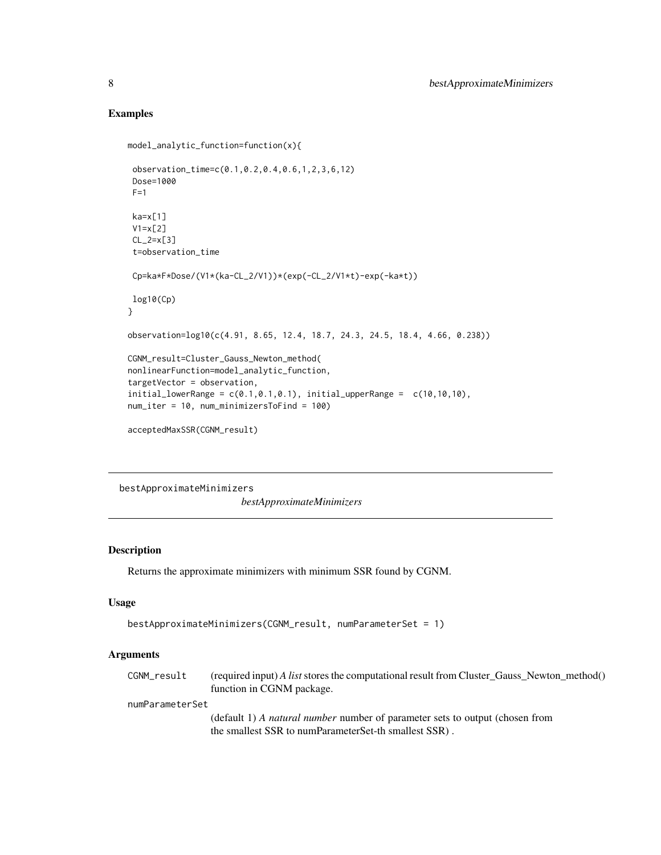## Examples

```
model_analytic_function=function(x){
 observation_time=c(0.1,0.2,0.4,0.6,1,2,3,6,12)
 Dose=1000
 F=1ka=x[1]V1=x[2]
 CL_2=x[3]
 t=observation_time
 Cp=ka*F*Dose/(V1*(ka-CL_2/V1))*(exp(-CL_2/V1*t)-exp(-ka*t))
log10(Cp)
}
observation=log10(c(4.91, 8.65, 12.4, 18.7, 24.3, 24.5, 18.4, 4.66, 0.238))
CGNM_result=Cluster_Gauss_Newton_method(
nonlinearFunction=model_analytic_function,
targetVector = observation,
initial\_lowerRange = c(0.1, 0.1, 0.1), initial\_upperRange = c(10, 10, 10),
num_iter = 10, num_minimizersToFind = 100)
acceptedMaxSSR(CGNM_result)
```
bestApproximateMinimizers

*bestApproximateMinimizers*

## Description

Returns the approximate minimizers with minimum SSR found by CGNM.

## Usage

```
bestApproximateMinimizers(CGNM_result, numParameterSet = 1)
```
#### Arguments

| CGNM_result     | (required input) A list stores the computational result from Cluster Gauss Newton method()<br>function in CGNM package. |  |  |
|-----------------|-------------------------------------------------------------------------------------------------------------------------|--|--|
| numParameterSet |                                                                                                                         |  |  |
|                 | (default 1) A <i>natural number</i> number of parameter sets to output (chosen from                                     |  |  |
|                 | the smallest SSR to numParameterSet-th smallest SSR).                                                                   |  |  |

<span id="page-7-0"></span>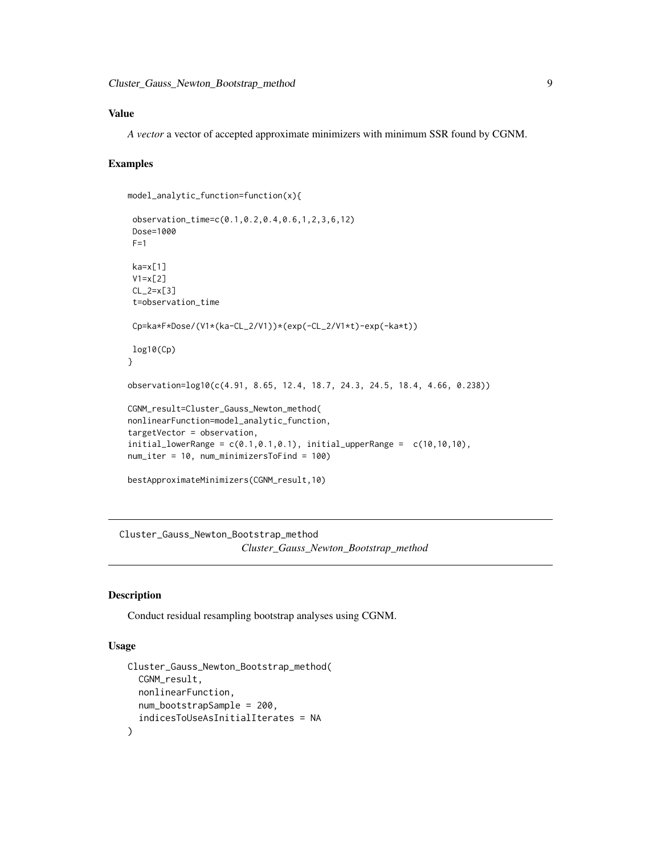## <span id="page-8-0"></span>Value

*A vector* a vector of accepted approximate minimizers with minimum SSR found by CGNM.

## Examples

```
model_analytic_function=function(x){
```

```
observation_time=c(0.1,0.2,0.4,0.6,1,2,3,6,12)
Dose=1000
F=1ka=x[1]
V1=x[2]
CL_2=x[3]
 t=observation_time
Cp=ka*F*Dose/(V1*(ka-CL_2/V1))*(exp(-CL_2/V1*t)-exp(-ka*t))
log10(Cp)
}
observation=log10(c(4.91, 8.65, 12.4, 18.7, 24.3, 24.5, 18.4, 4.66, 0.238))
CGNM_result=Cluster_Gauss_Newton_method(
nonlinearFunction=model_analytic_function,
targetVector = observation,
initial\_lowerRange = c(0.1, 0.1, 0.1), initial\_upperRange = c(10, 10, 10),
num_iter = 10, num_minimizersToFind = 100)
bestApproximateMinimizers(CGNM_result,10)
```
Cluster\_Gauss\_Newton\_Bootstrap\_method *Cluster\_Gauss\_Newton\_Bootstrap\_method*

### Description

Conduct residual resampling bootstrap analyses using CGNM.

### Usage

```
Cluster_Gauss_Newton_Bootstrap_method(
  CGNM_result,
  nonlinearFunction,
  num_bootstrapSample = 200,
  indicesToUseAsInitialIterates = NA
)
```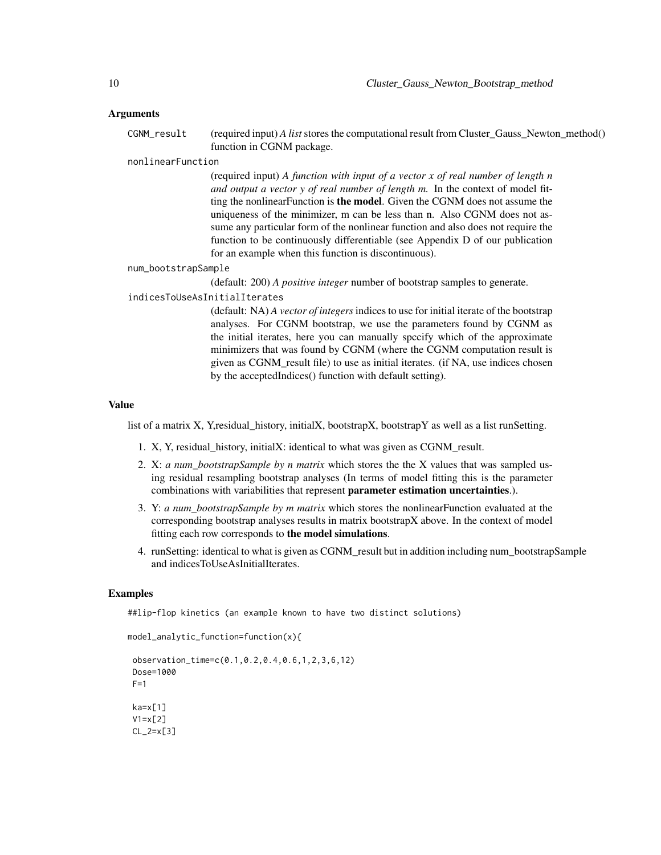#### Arguments

CGNM\_result (required input) *A list* stores the computational result from Cluster\_Gauss\_Newton\_method() function in CGNM package.

#### nonlinearFunction

(required input) *A function with input of a vector x of real number of length n and output a vector y of real number of length m.* In the context of model fitting the nonlinearFunction is the model. Given the CGNM does not assume the uniqueness of the minimizer, m can be less than n. Also CGNM does not assume any particular form of the nonlinear function and also does not require the function to be continuously differentiable (see Appendix D of our publication for an example when this function is discontinuous).

## num\_bootstrapSample

(default: 200) *A positive integer* number of bootstrap samples to generate.

## indicesToUseAsInitialIterates

(default: NA) *A vector of integers* indices to use for initial iterate of the bootstrap analyses. For CGNM bootstrap, we use the parameters found by CGNM as the initial iterates, here you can manually spccify which of the approximate minimizers that was found by CGNM (where the CGNM computation result is given as CGNM\_result file) to use as initial iterates. (if NA, use indices chosen by the acceptedIndices() function with default setting).

#### Value

list of a matrix X, Y,residual\_history, initialX, bootstrapX, bootstrapY as well as a list runSetting.

- 1. X, Y, residual\_history, initialX: identical to what was given as CGNM\_result.
- 2. X: *a num\_bootstrapSample by n matrix* which stores the the X values that was sampled using residual resampling bootstrap analyses (In terms of model fitting this is the parameter combinations with variabilities that represent parameter estimation uncertainties.).
- 3. Y: *a num\_bootstrapSample by m matrix* which stores the nonlinearFunction evaluated at the corresponding bootstrap analyses results in matrix bootstrapX above. In the context of model fitting each row corresponds to the model simulations.
- 4. runSetting: identical to what is given as CGNM\_result but in addition including num\_bootstrapSample and indicesToUseAsInitialIterates.

#### Examples

##lip-flop kinetics (an example known to have two distinct solutions)

```
model_analytic_function=function(x){
observation_time=c(0.1,0.2,0.4,0.6,1,2,3,6,12)
Dose=1000
F=1ka=x[1]
V1=x[2]
CL_2=x[3]
```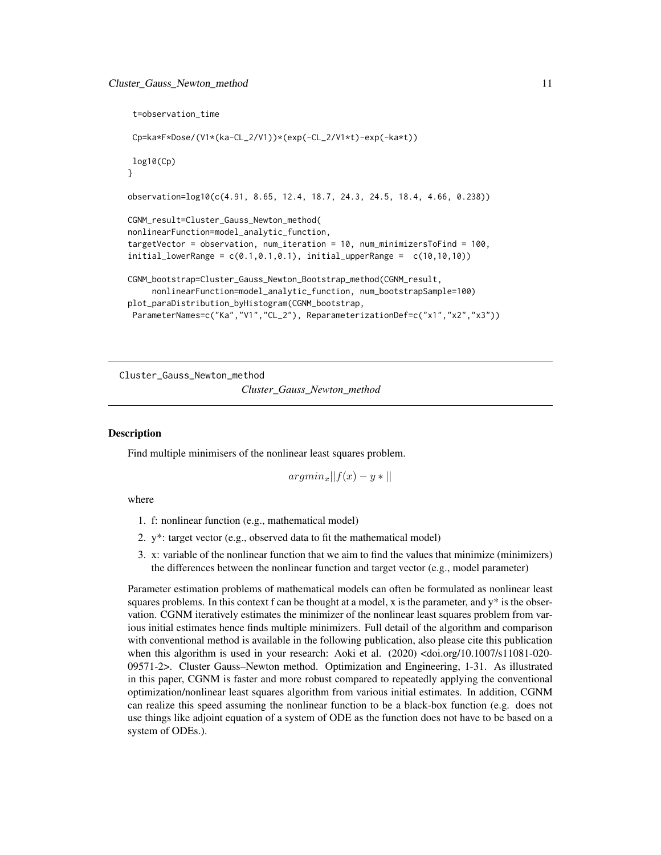```
t=observation_time
Cp=ka*F*Dose/(V1*(ka-CL_2/V1))*(exp(-CL_2/V1*t)-exp(-ka*t))
log10(Cp)
}
observation=log10(c(4.91, 8.65, 12.4, 18.7, 24.3, 24.5, 18.4, 4.66, 0.238))
CGNM_result=Cluster_Gauss_Newton_method(
nonlinearFunction=model_analytic_function,
targetVector = observation, num_iteration = 10, num_minimizersToFind = 100,
initial_lowerRange = c(0.1, 0.1, 0.1), initial_lupperRange = c(10, 10, 10)CGNM_bootstrap=Cluster_Gauss_Newton_Bootstrap_method(CGNM_result,
     nonlinearFunction=model_analytic_function, num_bootstrapSample=100)
plot_paraDistribution_byHistogram(CGNM_bootstrap,
ParameterNames=c("Ka","V1","CL_2"), ReparameterizationDef=c("x1","x2","x3"))
```
Cluster\_Gauss\_Newton\_method *Cluster\_Gauss\_Newton\_method*

#### Description

Find multiple minimisers of the nonlinear least squares problem.

 $argmin_x ||f(x) - y||$ 

where

- 1. f: nonlinear function (e.g., mathematical model)
- 2. y\*: target vector (e.g., observed data to fit the mathematical model)
- 3. x: variable of the nonlinear function that we aim to find the values that minimize (minimizers) the differences between the nonlinear function and target vector (e.g., model parameter)

Parameter estimation problems of mathematical models can often be formulated as nonlinear least squares problems. In this context f can be thought at a model, x is the parameter, and  $y^*$  is the observation. CGNM iteratively estimates the minimizer of the nonlinear least squares problem from various initial estimates hence finds multiple minimizers. Full detail of the algorithm and comparison with conventional method is available in the following publication, also please cite this publication when this algorithm is used in your research: Aoki et al. (2020) <doi.org/10.1007/s11081-020- 09571-2>. Cluster Gauss–Newton method. Optimization and Engineering, 1-31. As illustrated in this paper, CGNM is faster and more robust compared to repeatedly applying the conventional optimization/nonlinear least squares algorithm from various initial estimates. In addition, CGNM can realize this speed assuming the nonlinear function to be a black-box function (e.g. does not use things like adjoint equation of a system of ODE as the function does not have to be based on a system of ODEs.).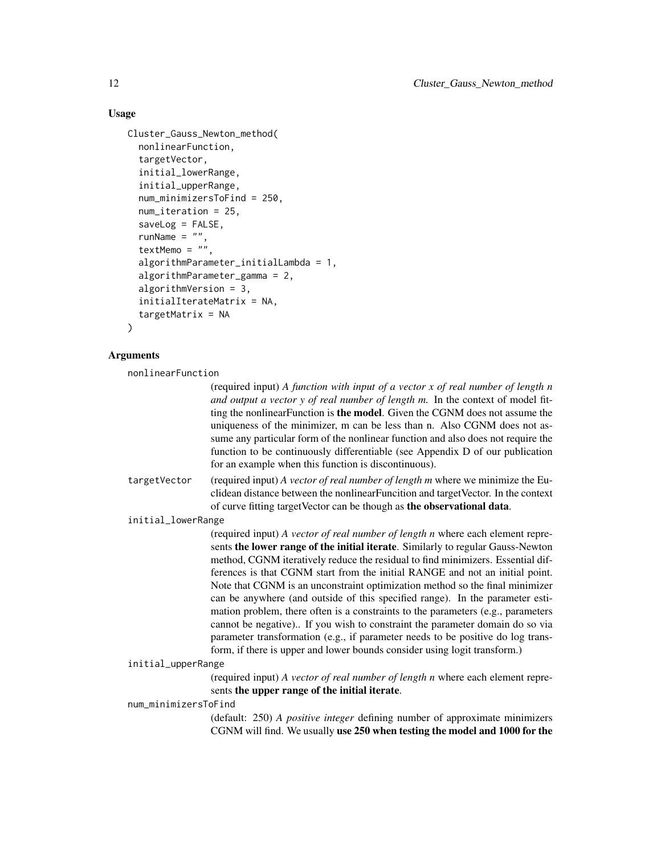## Usage

```
Cluster_Gauss_Newton_method(
  nonlinearFunction,
  targetVector,
  initial_lowerRange,
  initial_upperRange,
  num_minimizersToFind = 250,
  num_iteration = 25,
  saveLog = FALSE,
  runName = ",
  textMemo = ".
  algorithmParameter_initialLambda = 1,
  algorithmParameter_gamma = 2,
  algorithmVersion = 3,
  initialIterateMatrix = NA,
  targetMatrix = NA
)
```
## Arguments

nonlinearFunction

(required input) *A function with input of a vector x of real number of length n and output a vector y of real number of length m.* In the context of model fitting the nonlinearFunction is the model. Given the CGNM does not assume the uniqueness of the minimizer, m can be less than n. Also CGNM does not assume any particular form of the nonlinear function and also does not require the function to be continuously differentiable (see Appendix D of our publication for an example when this function is discontinuous).

targetVector (required input) *A vector of real number of length m* where we minimize the Euclidean distance between the nonlinearFuncition and targetVector. In the context of curve fitting targetVector can be though as the observational data.

initial\_lowerRange

(required input) *A vector of real number of length n* where each element represents the lower range of the initial iterate. Similarly to regular Gauss-Newton method, CGNM iteratively reduce the residual to find minimizers. Essential differences is that CGNM start from the initial RANGE and not an initial point. Note that CGNM is an unconstraint optimization method so the final minimizer can be anywhere (and outside of this specified range). In the parameter estimation problem, there often is a constraints to the parameters (e.g., parameters cannot be negative).. If you wish to constraint the parameter domain do so via parameter transformation (e.g., if parameter needs to be positive do log transform, if there is upper and lower bounds consider using logit transform.)

```
initial_upperRange
```
(required input) *A vector of real number of length n* where each element represents the upper range of the initial iterate.

num\_minimizersToFind

(default: 250) *A positive integer* defining number of approximate minimizers CGNM will find. We usually use 250 when testing the model and 1000 for the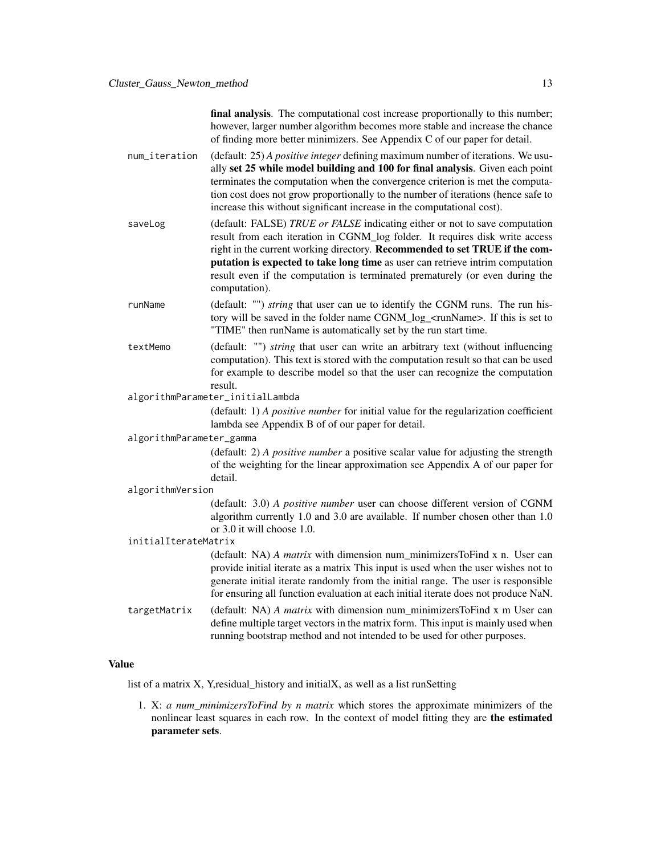final analysis. The computational cost increase proportionally to this number; however, larger number algorithm becomes more stable and increase the chance of finding more better minimizers. See Appendix C of our paper for detail.

- num\_iteration (default: 25) *A positive integer* defining maximum number of iterations. We usually set 25 while model building and 100 for final analysis. Given each point terminates the computation when the convergence criterion is met the computation cost does not grow proportionally to the number of iterations (hence safe to increase this without significant increase in the computational cost).
- saveLog (default: FALSE) *TRUE or FALSE* indicating either or not to save computation result from each iteration in CGNM\_log folder. It requires disk write access right in the current working directory. Recommended to set TRUE if the computation is expected to take long time as user can retrieve intrim computation result even if the computation is terminated prematurely (or even during the computation).
- runName (default: "") *string* that user can ue to identify the CGNM runs. The run history will be saved in the folder name CGNM\_log\_<runName>. If this is set to "TIME" then runName is automatically set by the run start time.
- textMemo (default: "") *string* that user can write an arbitrary text (without influencing computation). This text is stored with the computation result so that can be used for example to describe model so that the user can recognize the computation result.
- algorithmParameter\_initialLambda

(default: 1) *A positive number* for initial value for the regularization coefficient lambda see Appendix B of of our paper for detail.

algorithmParameter\_gamma

(default: 2) *A positive number* a positive scalar value for adjusting the strength of the weighting for the linear approximation see Appendix A of our paper for detail.

#### algorithmVersion

(default: 3.0) *A positive number* user can choose different version of CGNM algorithm currently 1.0 and 3.0 are available. If number chosen other than 1.0 or 3.0 it will choose 1.0.

#### initialIterateMatrix

(default: NA) *A matrix* with dimension num\_minimizersToFind x n. User can provide initial iterate as a matrix This input is used when the user wishes not to generate initial iterate randomly from the initial range. The user is responsible for ensuring all function evaluation at each initial iterate does not produce NaN.

targetMatrix (default: NA) *A matrix* with dimension num\_minimizersToFind x m User can define multiple target vectors in the matrix form. This input is mainly used when running bootstrap method and not intended to be used for other purposes.

## Value

list of a matrix  $X$ , Y, residual\_history and initial $X$ , as well as a list runSetting

1. X: *a num\_minimizersToFind by n matrix* which stores the approximate minimizers of the nonlinear least squares in each row. In the context of model fitting they are the estimated parameter sets.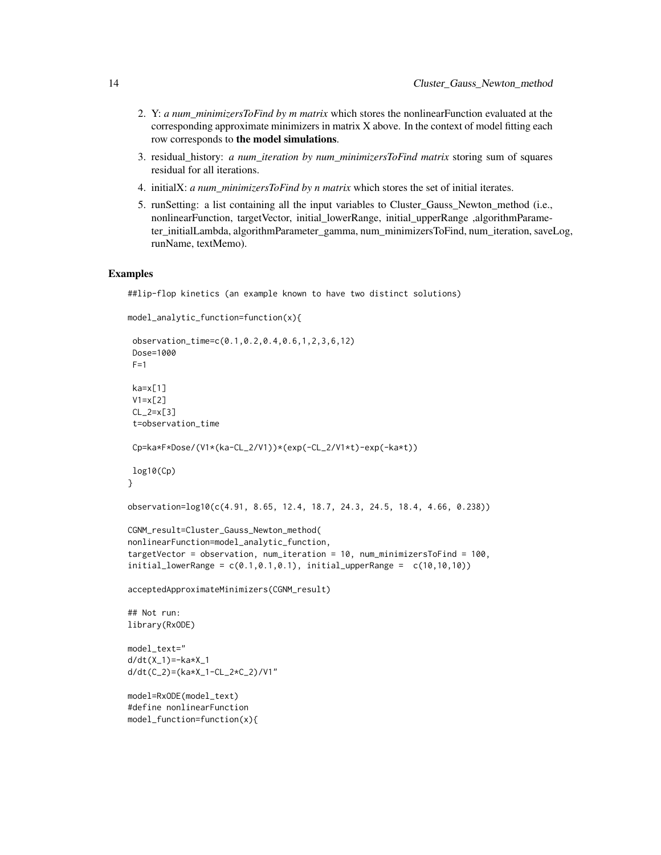- 2. Y: *a num\_minimizersToFind by m matrix* which stores the nonlinearFunction evaluated at the corresponding approximate minimizers in matrix X above. In the context of model fitting each row corresponds to the model simulations.
- 3. residual\_history: *a num\_iteration by num\_minimizersToFind matrix* storing sum of squares residual for all iterations.
- 4. initialX: *a num\_minimizersToFind by n matrix* which stores the set of initial iterates.
- 5. runSetting: a list containing all the input variables to Cluster\_Gauss\_Newton\_method (i.e., nonlinearFunction, targetVector, initial\_lowerRange, initial\_upperRange ,algorithmParameter\_initialLambda, algorithmParameter\_gamma, num\_minimizersToFind, num\_iteration, saveLog, runName, textMemo).

```
##lip-flop kinetics (an example known to have two distinct solutions)
```

```
model_analytic_function=function(x){
 observation_time=c(0.1,0.2,0.4,0.6,1,2,3,6,12)
 Dose=1000
F=1ka=x[1]V1=x[2]
CL_2=x[3]
 t=observation_time
Cp=ka*F*Dose/(V1*(ka-CL_2/V1))*(exp(-CL_2/V1*t)-exp(-ka*t))
log10(Cp)
}
observation=log10(c(4.91, 8.65, 12.4, 18.7, 24.3, 24.5, 18.4, 4.66, 0.238))
CGNM_result=Cluster_Gauss_Newton_method(
nonlinearFunction=model_analytic_function,
targetVector = observation, num_iteration = 10, num_minimizersToFind = 100,
initial_lowerRange = c(0.1, 0.1, 0.1), initial_lupperRange = c(10, 10, 10)acceptedApproximateMinimizers(CGNM_result)
## Not run:
library(RxODE)
model_text="
d/dt(X_1)=-ka*X_1
d/dt(C_2)=(ka*X_1-CL_2*C_2)/V1"
model=RxODE(model_text)
#define nonlinearFunction
model_function=function(x){
```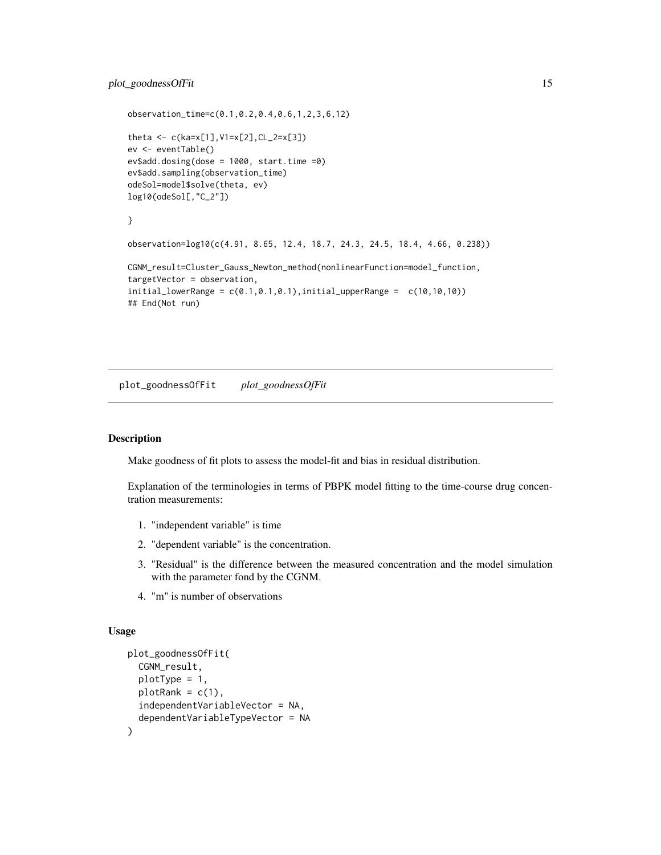## <span id="page-14-0"></span>plot\_goodnessOfFit 15

```
observation_time=c(0.1,0.2,0.4,0.6,1,2,3,6,12)
theta <- c(ka=x[1],V1=x[2],CL_2=x[3])
ev <- eventTable()
ev$add.dosing(dose = 1000, start.time =0)
ev$add.sampling(observation_time)
odeSol=model$solve(theta, ev)
log10(odeSol[,"C_2"])
}
observation=log10(c(4.91, 8.65, 12.4, 18.7, 24.3, 24.5, 18.4, 4.66, 0.238))
CGNM_result=Cluster_Gauss_Newton_method(nonlinearFunction=model_function,
targetVector = observation,
initial_lowerRange = c(0.1, 0.1, 0.1), initial_lupperRange = c(10, 10, 10)## End(Not run)
```
plot\_goodnessOfFit *plot\_goodnessOfFit*

## Description

Make goodness of fit plots to assess the model-fit and bias in residual distribution.

Explanation of the terminologies in terms of PBPK model fitting to the time-course drug concentration measurements:

- 1. "independent variable" is time
- 2. "dependent variable" is the concentration.
- 3. "Residual" is the difference between the measured concentration and the model simulation with the parameter fond by the CGNM.
- 4. "m" is number of observations

#### Usage

```
plot_goodnessOfFit(
  CGNM_result,
  plotType = 1,
 plotRank = c(1),
  independentVariableVector = NA,
  dependentVariableTypeVector = NA
)
```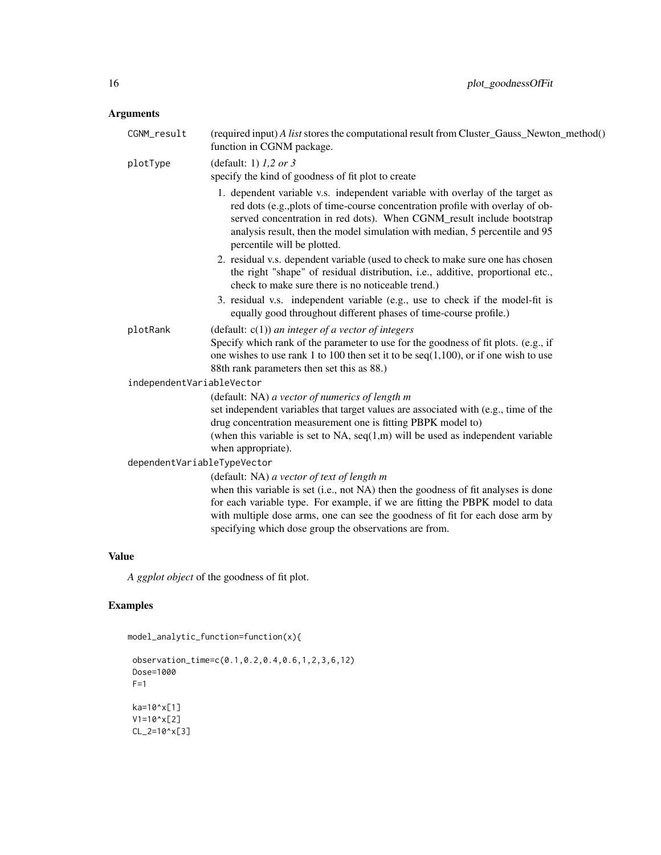## Arguments

| CGNM_result                 | (required input) A list stores the computational result from Cluster_Gauss_Newton_method()<br>function in CGNM package.                                                                                                                                                                                                                                      |
|-----------------------------|--------------------------------------------------------------------------------------------------------------------------------------------------------------------------------------------------------------------------------------------------------------------------------------------------------------------------------------------------------------|
| plotType                    | (default: 1) $1,2$ or 3<br>specify the kind of goodness of fit plot to create                                                                                                                                                                                                                                                                                |
|                             | 1. dependent variable v.s. independent variable with overlay of the target as<br>red dots (e.g., plots of time-course concentration profile with overlay of ob-<br>served concentration in red dots). When CGNM_result include bootstrap<br>analysis result, then the model simulation with median, 5 percentile and 95<br>percentile will be plotted.       |
|                             | 2. residual v.s. dependent variable (used to check to make sure one has chosen<br>the right "shape" of residual distribution, i.e., additive, proportional etc.,<br>check to make sure there is no noticeable trend.)                                                                                                                                        |
|                             | 3. residual v.s. independent variable (e.g., use to check if the model-fit is<br>equally good throughout different phases of time-course profile.)                                                                                                                                                                                                           |
| plotRank                    | (default: $c(1)$ ) an integer of a vector of integers                                                                                                                                                                                                                                                                                                        |
|                             | Specify which rank of the parameter to use for the goodness of fit plots. (e.g., if<br>one wishes to use rank 1 to 100 then set it to be $seq(1,100)$ , or if one wish to use<br>88th rank parameters then set this as 88.)                                                                                                                                  |
| independentVariableVector   |                                                                                                                                                                                                                                                                                                                                                              |
|                             | (default: NA) a vector of numerics of length m                                                                                                                                                                                                                                                                                                               |
|                             | set independent variables that target values are associated with (e.g., time of the<br>drug concentration measurement one is fitting PBPK model to)                                                                                                                                                                                                          |
|                             | (when this variable is set to NA, $seq(1,m)$ will be used as independent variable<br>when appropriate).                                                                                                                                                                                                                                                      |
| dependentVariableTypeVector |                                                                                                                                                                                                                                                                                                                                                              |
|                             | (default: NA) a vector of text of length m<br>when this variable is set (i.e., not NA) then the goodness of fit analyses is done<br>for each variable type. For example, if we are fitting the PBPK model to data<br>with multiple dose arms, one can see the goodness of fit for each dose arm by<br>specifying which dose group the observations are from. |
|                             |                                                                                                                                                                                                                                                                                                                                                              |

## Value

*A ggplot object* of the goodness of fit plot.

```
model_analytic_function=function(x){
```

```
observation_time=c(0.1,0.2,0.4,0.6,1,2,3,6,12)
Dose=1000
F=1ka=10^x[1]
V1=10^x[2]
CL_2=10^x[3]
```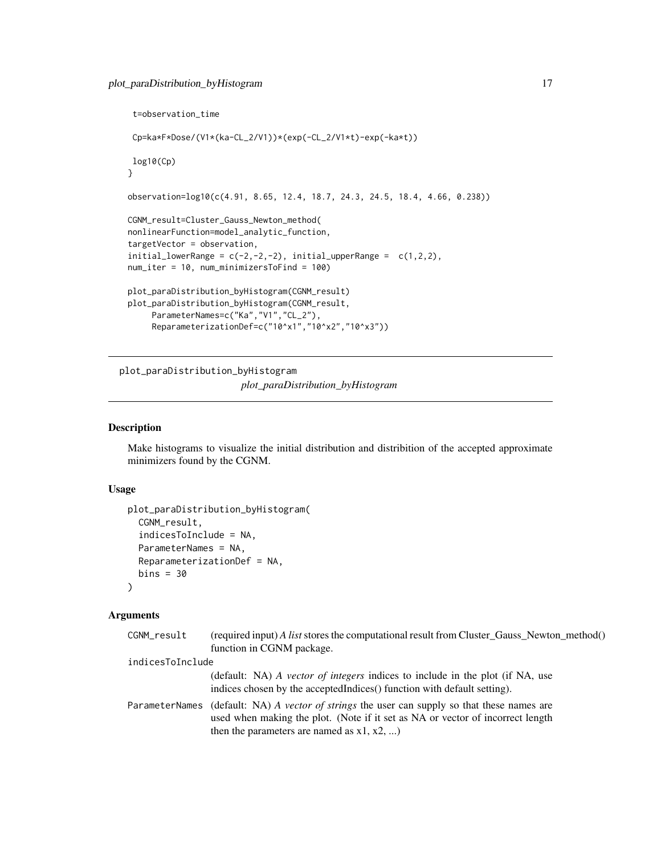```
t=observation_time
Cp=ka*F*Dose/(V1*(ka-CL_2/V1))*(exp(-CL_2/V1*t)-exp(-ka*t))
log10(Cp)
}
observation=log10(c(4.91, 8.65, 12.4, 18.7, 24.3, 24.5, 18.4, 4.66, 0.238))
CGNM_result=Cluster_Gauss_Newton_method(
nonlinearFunction=model_analytic_function,
targetVector = observation,
initial_lowerRange = c(-2, -2, -2), initial_upperRange = c(1, 2, 2),
num_iter = 10, num_minimizersToFind = 100)
plot_paraDistribution_byHistogram(CGNM_result)
plot_paraDistribution_byHistogram(CGNM_result,
     ParameterNames=c("Ka", "V1", "CL_2"),
     ReparameterizationDef=c("10^x1","10^x2","10^x3"))
```
plot\_paraDistribution\_byHistogram *plot\_paraDistribution\_byHistogram*

## Description

Make histograms to visualize the initial distribution and distribition of the accepted approximate minimizers found by the CGNM.

## Usage

```
plot_paraDistribution_byHistogram(
  CGNM_result,
  indicesToInclude = NA,
  ParameterNames = NA,
  ReparameterizationDef = NA,
  bins = 30\lambda
```
## Arguments

| CGNM_result      | (required input) A list stores the computational result from Cluster_Gauss_Newton_method()<br>function in CGNM package.                                                                                          |
|------------------|------------------------------------------------------------------------------------------------------------------------------------------------------------------------------------------------------------------|
| indicesToInclude |                                                                                                                                                                                                                  |
|                  | (default: NA) A vector of integers indices to include in the plot (if NA, use<br>indices chosen by the accepted Indices () function with default setting).                                                       |
| ParameterNames   | (default: NA) A vector of strings the user can supply so that these names are<br>used when making the plot. (Note if it set as NA or vector of incorrect length<br>then the parameters are named as $x1, x2, $ ) |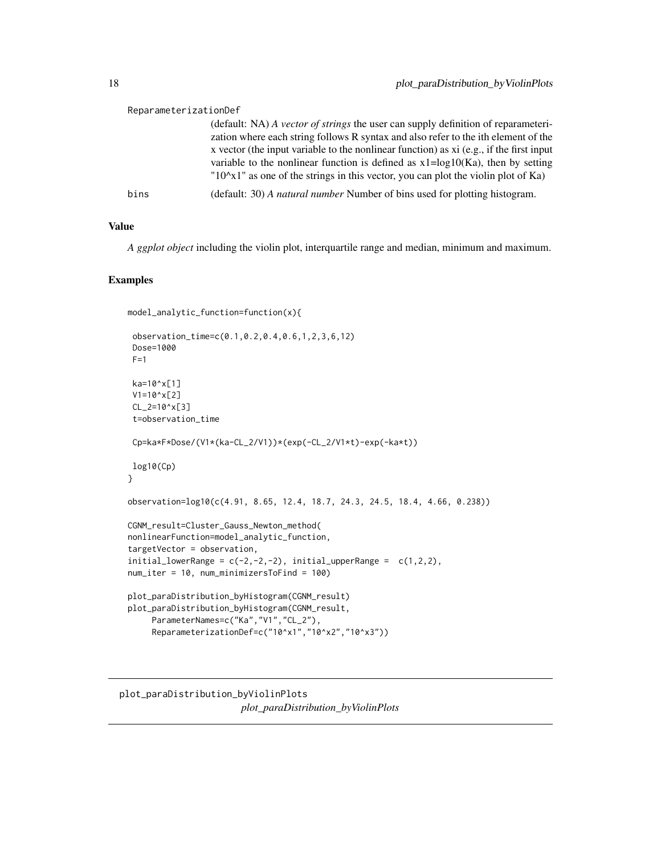<span id="page-17-0"></span>

| ReparameterizationDef |                                                                                                                                                                                                                                                                                                                                                                                                                                               |
|-----------------------|-----------------------------------------------------------------------------------------------------------------------------------------------------------------------------------------------------------------------------------------------------------------------------------------------------------------------------------------------------------------------------------------------------------------------------------------------|
|                       | (default: NA) A vector of strings the user can supply definition of reparameteri-<br>zation where each string follows R syntax and also refer to the ith element of the<br>x vector (the input variable to the nonlinear function) as xi (e.g., if the first input<br>variable to the nonlinear function is defined as $x1 = log 10(Ka)$ , then by setting<br>$10^x$ as one of the strings in this vector, you can plot the violin plot of Ka |
| bins                  | (default: 30) A <i>natural number</i> Number of bins used for plotting histogram.                                                                                                                                                                                                                                                                                                                                                             |

## Value

*A ggplot object* including the violin plot, interquartile range and median, minimum and maximum.

```
model_analytic_function=function(x){
```

```
observation_time=c(0.1,0.2,0.4,0.6,1,2,3,6,12)
 Dose=1000
 F=1ka=10^x[1]
 V1=10^x[2]
 CL_2=10^x[3]
 t=observation_time
 Cp=ka*F*Dose/(V1*(ka-CL_2/V1))*(exp(-CL_2/V1*t)-exp(-ka*t))
log10(Cp)
}
observation=log10(c(4.91, 8.65, 12.4, 18.7, 24.3, 24.5, 18.4, 4.66, 0.238))
CGNM_result=Cluster_Gauss_Newton_method(
nonlinearFunction=model_analytic_function,
targetVector = observation,
initial\_lowerRange = c(-2, -2, -2), initial\_upperRange = c(1, 2, 2),num_iter = 10, num_minimizersToFind = 100)
plot_paraDistribution_byHistogram(CGNM_result)
plot_paraDistribution_byHistogram(CGNM_result,
     ParameterNames=c("Ka","V1","CL_2"),
     ReparameterizationDef=c("10^x1","10^x2","10^x3"))
```

```
plot_paraDistribution_byViolinPlots
                        plot_paraDistribution_byViolinPlots
```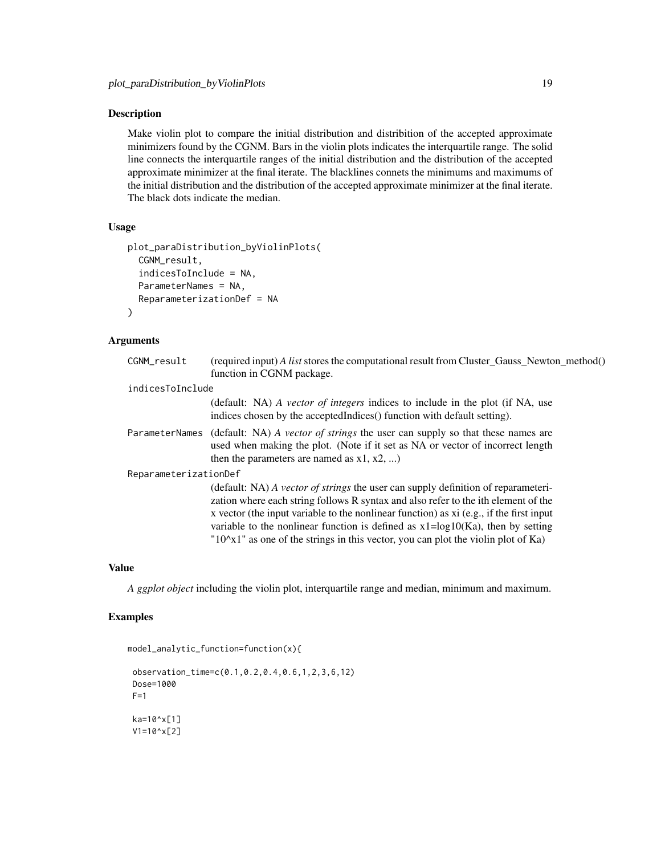### Description

Make violin plot to compare the initial distribution and distribition of the accepted approximate minimizers found by the CGNM. Bars in the violin plots indicates the interquartile range. The solid line connects the interquartile ranges of the initial distribution and the distribution of the accepted approximate minimizer at the final iterate. The blacklines connets the minimums and maximums of the initial distribution and the distribution of the accepted approximate minimizer at the final iterate. The black dots indicate the median.

#### Usage

```
plot_paraDistribution_byViolinPlots(
  CGNM_result,
  indicesToInclude = NA,
  ParameterNames = NA,
  ReparameterizationDef = NA
\lambda
```
### Arguments

| CGNM_result           | (required input) A list stores the computational result from Cluster_Gauss_Newton_method()<br>function in CGNM package.                                                                                                                                                                                                                                                                                                                                  |
|-----------------------|----------------------------------------------------------------------------------------------------------------------------------------------------------------------------------------------------------------------------------------------------------------------------------------------------------------------------------------------------------------------------------------------------------------------------------------------------------|
| indicesToInclude      |                                                                                                                                                                                                                                                                                                                                                                                                                                                          |
|                       | (default: NA) A vector of integers indices to include in the plot (if NA, use<br>indices chosen by the accepted Indices () function with default setting).                                                                                                                                                                                                                                                                                               |
|                       | ParameterNames (default: NA) A vector of strings the user can supply so that these names are<br>used when making the plot. (Note if it set as NA or vector of incorrect length<br>then the parameters are named as $x1, x2, $                                                                                                                                                                                                                            |
| ReparameterizationDef |                                                                                                                                                                                                                                                                                                                                                                                                                                                          |
|                       | (default: NA) A vector of strings the user can supply definition of reparameteri-<br>zation where each string follows R syntax and also refer to the ith element of the<br>x vector (the input variable to the nonlinear function) as xi (e.g., if the first input<br>variable to the nonlinear function is defined as $x1 = log 10(Ka)$ , then by setting<br>$"10^{\circ}x1"$ as one of the strings in this vector, you can plot the violin plot of Ka) |

## Value

*A ggplot object* including the violin plot, interquartile range and median, minimum and maximum.

```
model_analytic_function=function(x){
```

```
observation_time=c(0.1,0.2,0.4,0.6,1,2,3,6,12)
Dose=1000
F=1ka=10^x[1]
V1=10^x[2]
```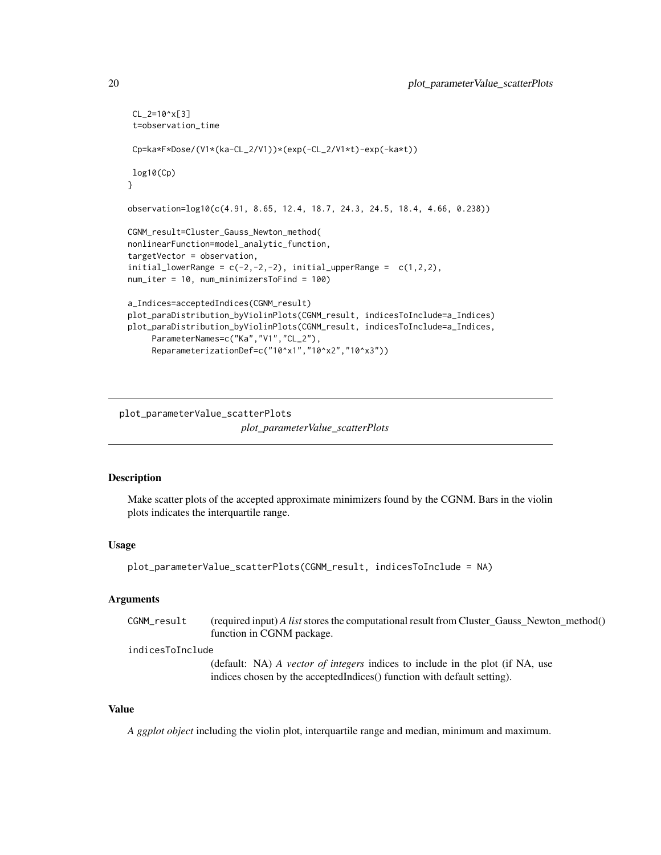```
CL_2=10^x[3]
 t=observation_time
Cp=ka*F*Dose/(V1*(ka-CL_2/V1))*(exp(-CL_2/V1*t)-exp(-ka*t))
log10(Cp)
}
observation=log10(c(4.91, 8.65, 12.4, 18.7, 24.3, 24.5, 18.4, 4.66, 0.238))
CGNM_result=Cluster_Gauss_Newton_method(
nonlinearFunction=model_analytic_function,
targetVector = observation,
initial\_lowerRange = c(-2, -2, -2), initial\_upperRange = c(1, 2, 2),
num_iter = 10, num_minimizersToFind = 100)
a_Indices=acceptedIndices(CGNM_result)
plot_paraDistribution_byViolinPlots(CGNM_result, indicesToInclude=a_Indices)
plot_paraDistribution_byViolinPlots(CGNM_result, indicesToInclude=a_Indices,
     ParameterNames=c("Ka","V1","CL_2"),
     ReparameterizationDef=c("10^x1","10^x2","10^x3"))
```
plot\_parameterValue\_scatterPlots

*plot\_parameterValue\_scatterPlots*

#### Description

Make scatter plots of the accepted approximate minimizers found by the CGNM. Bars in the violin plots indicates the interquartile range.

## Usage

```
plot_parameterValue_scatterPlots(CGNM_result, indicesToInclude = NA)
```
## Arguments

CGNM\_result (required input) *A list* stores the computational result from Cluster\_Gauss\_Newton\_method() function in CGNM package.

indicesToInclude

(default: NA) *A vector of integers* indices to include in the plot (if NA, use indices chosen by the acceptedIndices() function with default setting).

#### Value

*A ggplot object* including the violin plot, interquartile range and median, minimum and maximum.

<span id="page-19-0"></span>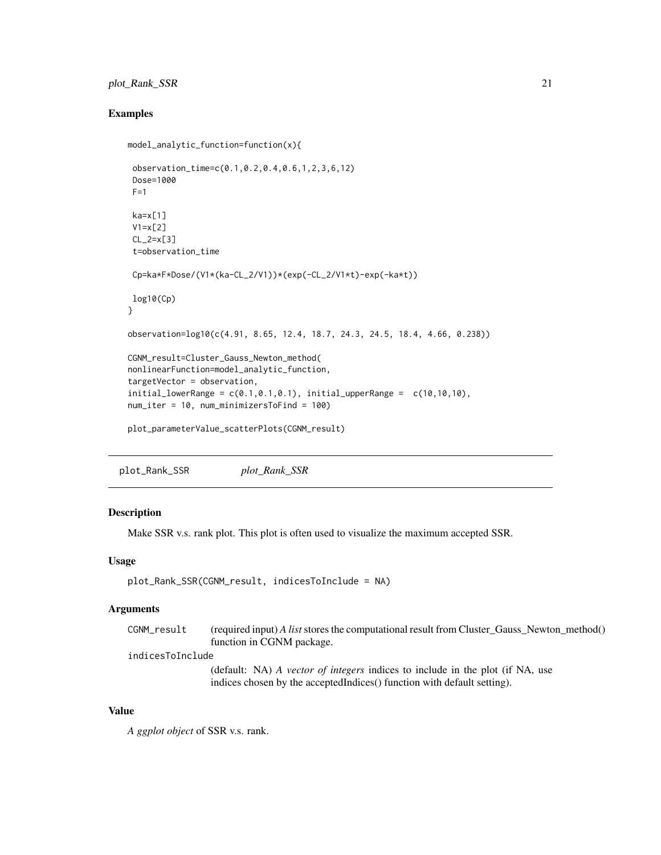## <span id="page-20-0"></span>plot\_Rank\_SSR 21

## Examples

```
model_analytic_function=function(x){
observation_time=c(0.1,0.2,0.4,0.6,1,2,3,6,12)
Dose=1000
F=1ka=x[1]V1=x[2]CL_2=x[3]t=observation_time
Cp=ka*F*Dose/(V1*(ka-CL_2/V1))*(exp(-CL_2/V1*t)-exp(-ka*t))
log10(Cp)
}
observation=log10(c(4.91, 8.65, 12.4, 18.7, 24.3, 24.5, 18.4, 4.66, 0.238))
CGNM_result=Cluster_Gauss_Newton_method(
nonlinearFunction=model_analytic_function,
targetVector = observation,
initial_lowerRange = c(0.1, 0.1, 0.1), initial_lupperRange = c(10, 10, 10),
num_iter = 10, num_minimizersToFind = 100)
plot_parameterValue_scatterPlots(CGNM_result)
```
plot\_Rank\_SSR *plot\_Rank\_SSR*

### Description

Make SSR v.s. rank plot. This plot is often used to visualize the maximum accepted SSR.

#### Usage

```
plot_Rank_SSR(CGNM_result, indicesToInclude = NA)
```
#### Arguments

| CGNM_result | (required input) A list stores the computational result from Cluster_Gauss_Newton_method() |
|-------------|--------------------------------------------------------------------------------------------|
|             | function in CGNM package.                                                                  |

#### indicesToInclude

(default: NA) *A vector of integers* indices to include in the plot (if NA, use indices chosen by the acceptedIndices() function with default setting).

#### Value

*A ggplot object* of SSR v.s. rank.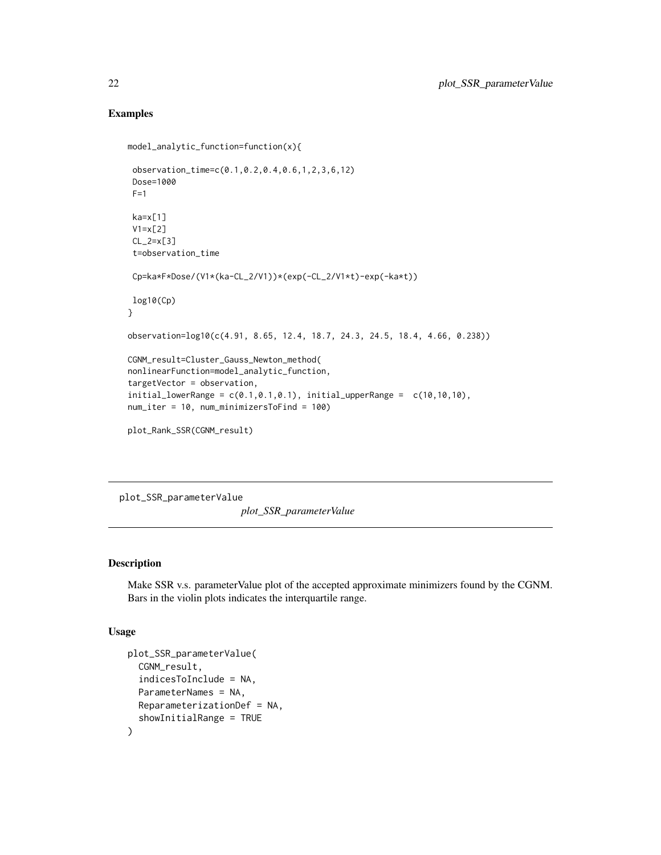## Examples

```
model_analytic_function=function(x){
 observation_time=c(0.1,0.2,0.4,0.6,1,2,3,6,12)
 Dose=1000
 F=1ka=x[1]
 V1=x[2]
 CL_2=x[3]
 t=observation_time
 Cp=ka*F*Dose/(V1*(ka-CL_2/V1))*(exp(-CL_2/V1*t)-exp(-ka*t))
 log10(Cp)
}
observation=log10(c(4.91, 8.65, 12.4, 18.7, 24.3, 24.5, 18.4, 4.66, 0.238))
CGNM_result=Cluster_Gauss_Newton_method(
nonlinearFunction=model_analytic_function,
targetVector = observation,
initial_lowerRange = c(0.1, 0.1, 0.1), initial_lupperRange = c(10, 10, 10),
num_iter = 10, num_minimizersToFind = 100)
plot_Rank_SSR(CGNM_result)
```
plot\_SSR\_parameterValue

*plot\_SSR\_parameterValue*

## Description

Make SSR v.s. parameterValue plot of the accepted approximate minimizers found by the CGNM. Bars in the violin plots indicates the interquartile range.

#### Usage

```
plot_SSR_parameterValue(
  CGNM_result,
  indicesToInclude = NA,
 ParameterNames = NA,
  ReparameterizationDef = NA,
  showInitialRange = TRUE
)
```
<span id="page-21-0"></span>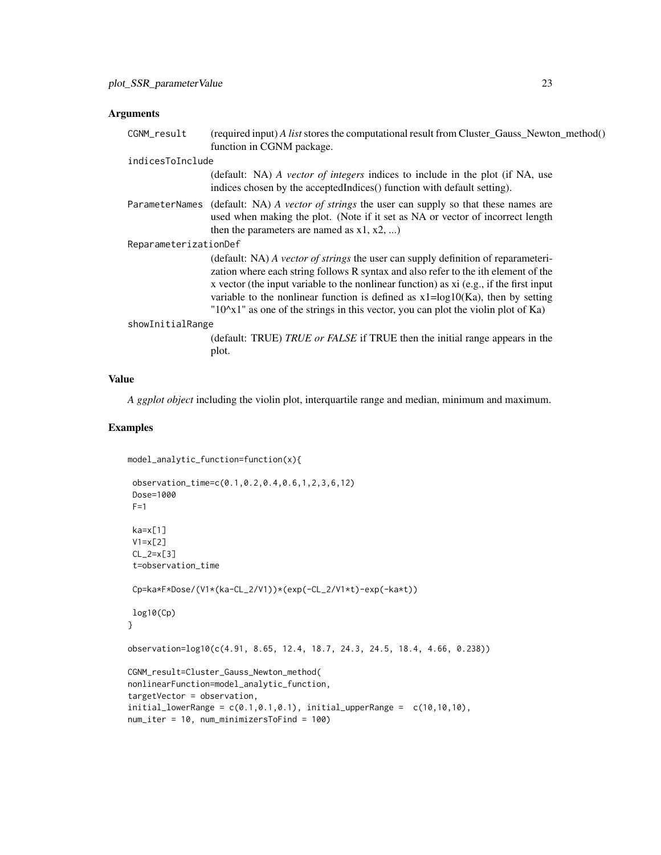## Arguments

| CGNM_result           | (required input) A list stores the computational result from Cluster_Gauss_Newton_method()<br>function in CGNM package.                                                                                                                                                                                                                                                                                                                                    |  |
|-----------------------|------------------------------------------------------------------------------------------------------------------------------------------------------------------------------------------------------------------------------------------------------------------------------------------------------------------------------------------------------------------------------------------------------------------------------------------------------------|--|
| indicesToInclude      |                                                                                                                                                                                                                                                                                                                                                                                                                                                            |  |
|                       | (default: NA) A vector of integers indices to include in the plot (if NA, use<br>indices chosen by the accepted Indices () function with default setting).                                                                                                                                                                                                                                                                                                 |  |
|                       | ParameterNames (default: NA) A vector of strings the user can supply so that these names are<br>used when making the plot. (Note if it set as NA or vector of incorrect length<br>then the parameters are named as $x1, x2, $                                                                                                                                                                                                                              |  |
| ReparameterizationDef |                                                                                                                                                                                                                                                                                                                                                                                                                                                            |  |
|                       | (default: NA) A vector of strings the user can supply definition of reparameteri-<br>zation where each string follows R syntax and also refer to the ith element of the<br>x vector (the input variable to the nonlinear function) as xi (e.g., if the first input<br>variable to the nonlinear function is defined as $x1 = log 10(Ka)$ , then by setting<br>" $10^{\circ}x1$ " as one of the strings in this vector, you can plot the violin plot of Ka) |  |
| showInitialRange      |                                                                                                                                                                                                                                                                                                                                                                                                                                                            |  |
|                       | (default: TRUE) TRUE or FALSE if TRUE then the initial range appears in the<br>plot.                                                                                                                                                                                                                                                                                                                                                                       |  |

## Value

*A ggplot object* including the violin plot, interquartile range and median, minimum and maximum.

```
model_analytic_function=function(x){
```

```
observation_time=c(0.1,0.2,0.4,0.6,1,2,3,6,12)
 Dose=1000
 F=1ka=x[1]
 V1=x[2]CL_2=x[3]t=observation_time
 Cp=ka*F*Dose/(V1*(ka-CL_2/V1))*(exp(-CL_2/V1*t)-exp(-ka*t))
log10(Cp)
}
observation=log10(c(4.91, 8.65, 12.4, 18.7, 24.3, 24.5, 18.4, 4.66, 0.238))
CGNM_result=Cluster_Gauss_Newton_method(
nonlinearFunction=model_analytic_function,
targetVector = observation,
initial_lowerRange = c(0.1, 0.1, 0.1), initial_lupperRange = c(10, 10, 10),
num_iter = 10, num_minimizersToFind = 100)
```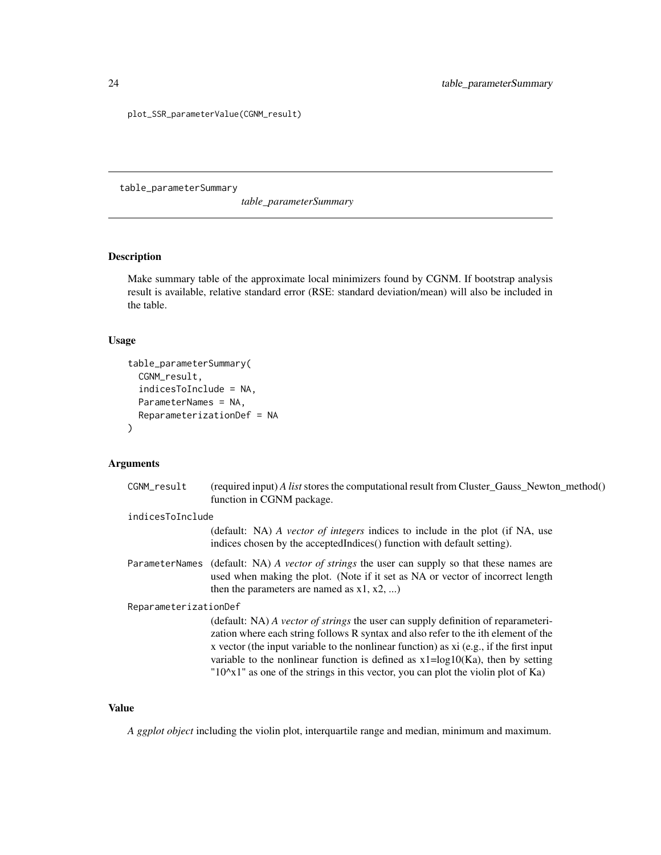plot\_SSR\_parameterValue(CGNM\_result)

table\_parameterSummary

*table\_parameterSummary*

## Description

Make summary table of the approximate local minimizers found by CGNM. If bootstrap analysis result is available, relative standard error (RSE: standard deviation/mean) will also be included in the table.

## Usage

```
table_parameterSummary(
  CGNM_result,
  indicesToInclude = NA,
  ParameterNames = NA,
  ReparameterizationDef = NA
\mathcal{L}
```
## Arguments

| CGNM_result           | (required input) A list stores the computational result from Cluster_Gauss_Newton_method()<br>function in CGNM package.                                                                                                                                                                                                                                                                                                                                    |
|-----------------------|------------------------------------------------------------------------------------------------------------------------------------------------------------------------------------------------------------------------------------------------------------------------------------------------------------------------------------------------------------------------------------------------------------------------------------------------------------|
| indicesToInclude      | (default: NA) A vector of integers indices to include in the plot (if NA, use<br>indices chosen by the accepted Indices () function with default setting).                                                                                                                                                                                                                                                                                                 |
|                       | ParameterNames (default: NA) A vector of strings the user can supply so that these names are<br>used when making the plot. (Note if it set as NA or vector of incorrect length<br>then the parameters are named as $x1, x2, $                                                                                                                                                                                                                              |
| ReparameterizationDef | (default: NA) A vector of strings the user can supply definition of reparameteri-<br>zation where each string follows R syntax and also refer to the ith element of the<br>x vector (the input variable to the nonlinear function) as $xi$ (e.g., if the first input<br>variable to the nonlinear function is defined as $x1 = log 10(Ka)$ , then by setting<br>$"10^{\circ}x1"$ as one of the strings in this vector, you can plot the violin plot of Ka) |

## Value

*A ggplot object* including the violin plot, interquartile range and median, minimum and maximum.

<span id="page-23-0"></span>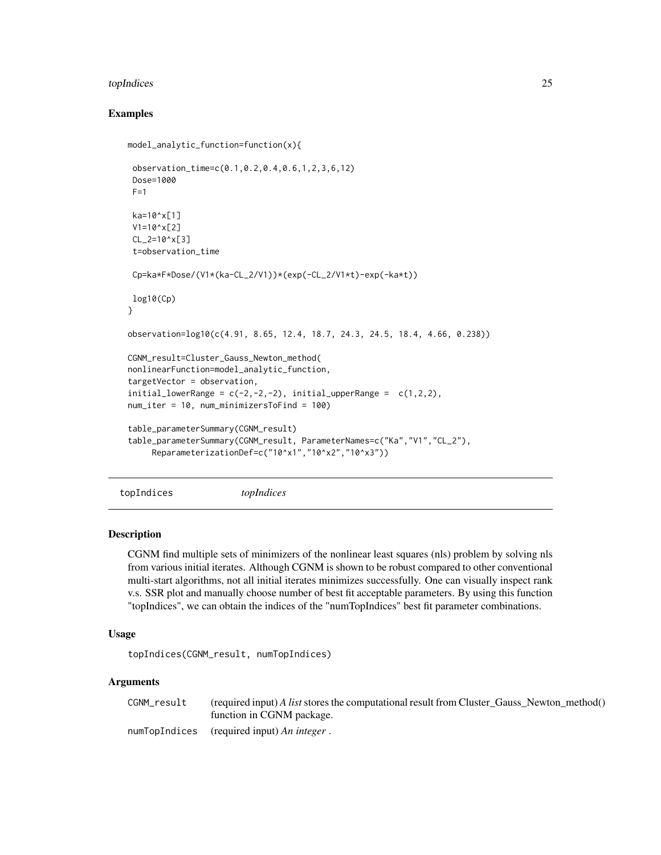#### <span id="page-24-0"></span>topIndices 25

## Examples

```
model_analytic_function=function(x){
 observation_time=c(0.1,0.2,0.4,0.6,1,2,3,6,12)
 Dose=1000
F=1ka=10^x[1]
V1=10^x[2]
CL_2=10^x[3]
 t=observation_time
Cp=ka*F*Dose/(V1*(ka-CL_2/V1))*(exp(-CL_2/V1*t)-exp(-ka*t))
log10(Cp)
}
observation=log10(c(4.91, 8.65, 12.4, 18.7, 24.3, 24.5, 18.4, 4.66, 0.238))
CGNM_result=Cluster_Gauss_Newton_method(
nonlinearFunction=model_analytic_function,
targetVector = observation,
initial\_lowerRange = c(-2, -2, -2), initial\_upperRange = c(1, 2, 2),
num_iter = 10, num_minimizersToFind = 100)
table_parameterSummary(CGNM_result)
table_parameterSummary(CGNM_result, ParameterNames=c("Ka","V1","CL_2"),
     ReparameterizationDef=c("10^x1","10^x2","10^x3"))
```
topIndices *topIndices*

## **Description**

CGNM find multiple sets of minimizers of the nonlinear least squares (nls) problem by solving nls from various initial iterates. Although CGNM is shown to be robust compared to other conventional multi-start algorithms, not all initial iterates minimizes successfully. One can visually inspect rank v.s. SSR plot and manually choose number of best fit acceptable parameters. By using this function "topIndices", we can obtain the indices of the "numTopIndices" best fit parameter combinations.

### Usage

```
topIndices(CGNM_result, numTopIndices)
```
#### Arguments

CGNM\_result (required input) *A list* stores the computational result from Cluster\_Gauss\_Newton\_method() function in CGNM package.

numTopIndices (required input) *An integer* .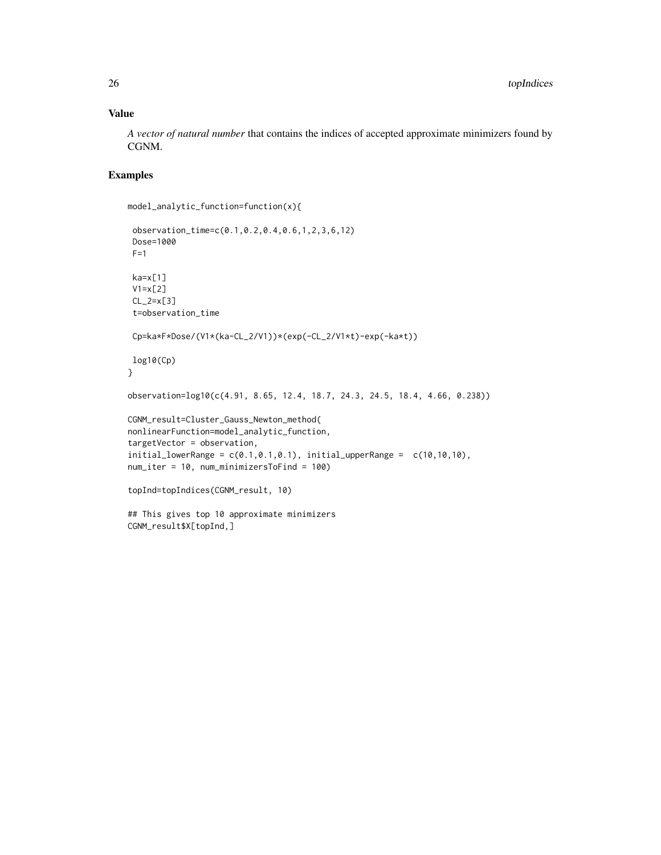## Value

*A vector of natural number* that contains the indices of accepted approximate minimizers found by CGNM.

## Examples

```
model_analytic_function=function(x){
```

```
observation_time=c(0.1,0.2,0.4,0.6,1,2,3,6,12)
 Dose=1000
 F=1ka=x[1]
 V1=x[2]
 CL_2=x[3]
 t=observation_time
 Cp=ka*F*Dose/(V1*(ka-CL_2/V1))*(exp(-CL_2/V1*t)-exp(-ka*t))
log10(Cp)
}
observation=log10(c(4.91, 8.65, 12.4, 18.7, 24.3, 24.5, 18.4, 4.66, 0.238))
CGNM_result=Cluster_Gauss_Newton_method(
nonlinearFunction=model_analytic_function,
targetVector = observation,
initial_lowerRange = c(0.1, 0.1, 0.1), initial_lupperRange = c(10, 10, 10),
num_iter = 10, num_minimizersToFind = 100)
topInd=topIndices(CGNM_result, 10)
## This gives top 10 approximate minimizers
```
CGNM\_result\$X[topInd,]